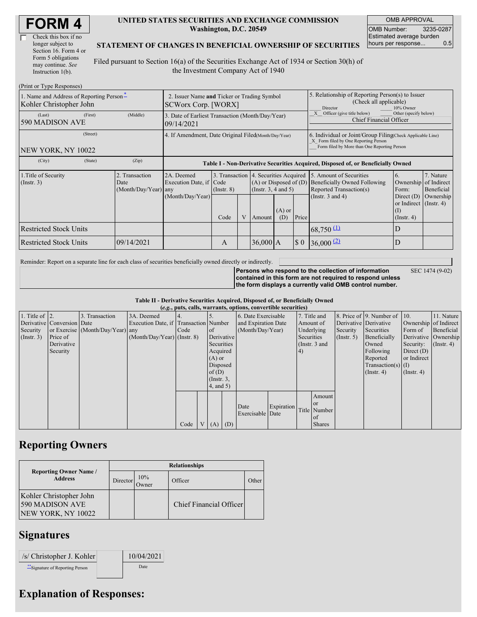| Check this box if no  |
|-----------------------|
| longer subject to     |
| Section 16. Form 4 or |
| Form 5 obligations    |
| may continue. See     |
| Instruction 1(b).     |

#### **UNITED STATES SECURITIES AND EXCHANGE COMMISSION Washington, D.C. 20549**

OMB APPROVAL OMB Number: 3235-0287 Estimated average burden hours per response... 0.5

#### **STATEMENT OF CHANGES IN BENEFICIAL OWNERSHIP OF SECURITIES**

Filed pursuant to Section 16(a) of the Securities Exchange Act of 1934 or Section 30(h) of the Investment Company Act of 1940

| (Print or Type Responses)                                           |                                                                           |                                                                                  |                 |  |                                                                                                         |     |                                                                                                                                                    |                                                                                                             |                                                                    |                                                     |
|---------------------------------------------------------------------|---------------------------------------------------------------------------|----------------------------------------------------------------------------------|-----------------|--|---------------------------------------------------------------------------------------------------------|-----|----------------------------------------------------------------------------------------------------------------------------------------------------|-------------------------------------------------------------------------------------------------------------|--------------------------------------------------------------------|-----------------------------------------------------|
| 1. Name and Address of Reporting Person-<br>Kohler Christopher John | 2. Issuer Name and Ticker or Trading Symbol<br><b>SCWorx Corp.</b> [WORX] |                                                                                  |                 |  |                                                                                                         |     | 5. Relationship of Reporting Person(s) to Issuer<br>(Check all applicable)<br>10% Owner<br>Director                                                |                                                                                                             |                                                                    |                                                     |
| (Last)<br>(First)<br>590 MADISON AVE                                | (Middle)                                                                  | 3. Date of Earliest Transaction (Month/Day/Year)<br>09/14/2021                   |                 |  |                                                                                                         |     |                                                                                                                                                    | Other (specify below)<br>Officer (give title below)<br><b>Chief Financial Officer</b>                       |                                                                    |                                                     |
| (Street)<br>NEW YORK, NY 10022                                      | 4. If Amendment, Date Original Filed(Month/Day/Year)                      |                                                                                  |                 |  |                                                                                                         |     | 6. Individual or Joint/Group Filing Check Applicable Line)<br>X Form filed by One Reporting Person<br>Form filed by More than One Reporting Person |                                                                                                             |                                                                    |                                                     |
| (City)<br>(State)                                                   | (Zip)                                                                     | Table I - Non-Derivative Securities Acquired, Disposed of, or Beneficially Owned |                 |  |                                                                                                         |     |                                                                                                                                                    |                                                                                                             |                                                                    |                                                     |
| 1. Title of Security<br>(Insert. 3)                                 | 2. Transaction<br>Date<br>(Month/Day/Year) any                            | 2A. Deemed<br>Execution Date, if Code<br>(Month/Day/Year)                        | $($ Instr. $8)$ |  | 3. Transaction 4. Securities Acquired<br>$(A)$ or Disposed of $(D)$<br>(Insert. 3, 4 and 5)<br>$(A)$ or |     |                                                                                                                                                    | 5. Amount of Securities<br>Beneficially Owned Following<br>Reported Transaction(s)<br>(Instr. $3$ and $4$ ) | 6.<br>Ownership<br>Form:<br>Direct $(D)$<br>or Indirect (Instr. 4) | 7. Nature<br>of Indirect<br>Beneficial<br>Ownership |
|                                                                     |                                                                           |                                                                                  | Code            |  | Amount                                                                                                  | (D) | Price                                                                                                                                              |                                                                                                             | $($ Instr. 4 $)$                                                   |                                                     |
| <b>Restricted Stock Units</b>                                       |                                                                           |                                                                                  |                 |  |                                                                                                         |     |                                                                                                                                                    | $68,750 \, 11$                                                                                              | D                                                                  |                                                     |
| <b>Restricted Stock Units</b>                                       | 09/14/2021                                                                |                                                                                  | А               |  | $36,000$ A                                                                                              |     | \$0                                                                                                                                                | $36,000$ $(2)$                                                                                              | D                                                                  |                                                     |

Reminder: Report on a separate line for each class of securities beneficially owned directly or indirectly.

**Persons who respond to the collection of information contained in this form are not required to respond unless the form displays a currently valid OMB control number.**

SEC 1474 (9-02)

| Table II - Derivative Securities Acquired, Disposed of, or Beneficially Owned |  |
|-------------------------------------------------------------------------------|--|
| (e.g., puts, calls, warrants, options, convertible securities)                |  |

|                        | $(0.5)$ , puts, cans, wai rams, options, convertion securities |                                  |                                       |      |  |                 |                     |                     |            |            |                 |                       |                              |                      |               |
|------------------------|----------------------------------------------------------------|----------------------------------|---------------------------------------|------|--|-----------------|---------------------|---------------------|------------|------------|-----------------|-----------------------|------------------------------|----------------------|---------------|
| 1. Title of $\vert$ 2. |                                                                | 3. Transaction                   | 3A. Deemed                            | 4.   |  |                 |                     | 6. Date Exercisable |            |            | 7. Title and    |                       | 8. Price of 9. Number of 10. |                      | 11. Nature    |
|                        | Derivative Conversion Date                                     |                                  | Execution Date, if Transaction Number |      |  |                 | and Expiration Date |                     | Amount of  |            |                 | Derivative Derivative | Ownership of Indirect        |                      |               |
| Security               |                                                                | or Exercise (Month/Day/Year) any |                                       | Code |  | of              |                     | (Month/Day/Year)    |            |            | Underlying      | Security              | Securities                   | Form of              | Beneficial    |
| $($ Instr. 3 $)$       | Price of                                                       |                                  | $(Month/Day/Year)$ (Instr. 8)         |      |  | Derivative      |                     |                     |            | Securities |                 | $($ Instr. 5 $)$      | Beneficially                 | Derivative Ownership |               |
|                        | Derivative                                                     |                                  |                                       |      |  | Securities      |                     |                     |            |            | (Instr. $3$ and |                       | Owned                        | Security:            | $($ Instr. 4) |
|                        | Security                                                       |                                  |                                       |      |  | Acquired        |                     |                     |            | (4)        |                 |                       | Following                    | Direct $(D)$         |               |
|                        |                                                                |                                  |                                       |      |  | $(A)$ or        |                     |                     |            |            |                 |                       | Reported                     | or Indirect          |               |
|                        |                                                                |                                  |                                       |      |  | Disposed        |                     |                     |            |            |                 |                       | $Transaction(s)$ (I)         |                      |               |
|                        |                                                                |                                  |                                       |      |  | of(D)           |                     |                     |            |            |                 |                       | $($ Instr. 4 $)$             | $($ Instr. 4)        |               |
|                        |                                                                |                                  |                                       |      |  | $($ Instr. $3,$ |                     |                     |            |            |                 |                       |                              |                      |               |
|                        |                                                                |                                  |                                       |      |  | $4$ , and $5$ ) |                     |                     |            |            |                 |                       |                              |                      |               |
|                        |                                                                |                                  |                                       |      |  |                 |                     |                     |            |            | Amount          |                       |                              |                      |               |
|                        |                                                                |                                  |                                       |      |  |                 |                     |                     |            |            | l or            |                       |                              |                      |               |
|                        |                                                                |                                  |                                       |      |  |                 |                     | Date                | Expiration |            | Title Number    |                       |                              |                      |               |
|                        |                                                                |                                  |                                       |      |  |                 |                     | Exercisable Date    |            |            | <sub>of</sub>   |                       |                              |                      |               |
|                        |                                                                |                                  |                                       | Code |  | V(A)            | (D)                 |                     |            |            | <b>Shares</b>   |                       |                              |                      |               |

## **Reporting Owners**

|                                                                         | <b>Relationships</b> |              |                         |       |  |  |  |  |  |
|-------------------------------------------------------------------------|----------------------|--------------|-------------------------|-------|--|--|--|--|--|
| <b>Reporting Owner Name /</b><br><b>Address</b>                         | Director             | 10%<br>Jwner | Officer                 | Other |  |  |  |  |  |
| Kohler Christopher John<br>590 MADISON AVE<br><b>NEW YORK, NY 10022</b> |                      |              | Chief Financial Officer |       |  |  |  |  |  |

## **Signatures**

| /s/ Christopher J. Kohler        | 10/04/2021 |
|----------------------------------|------------|
| ** Signature of Reporting Person | Date       |

# **Explanation of Responses:**